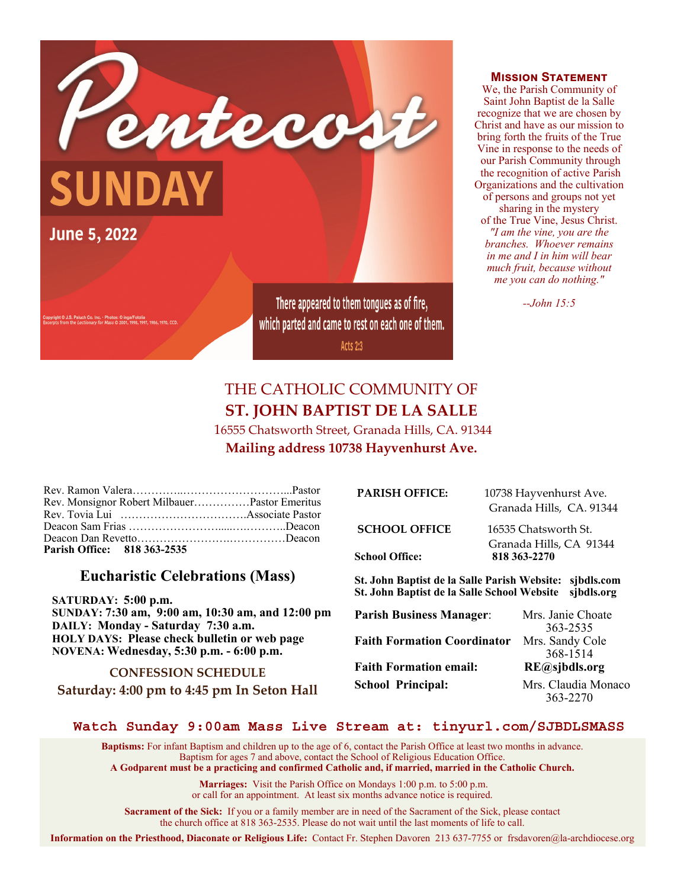

**MISSION STATEMENT** 

We, the Parish Community of Saint John Baptist de la Salle recognize that we are chosen by Christ and have as our mission to bring forth the fruits of the True Vine in response to the needs of our Parish Community through the recognition of active Parish Organizations and the cultivation of persons and groups not yet sharing in the mystery of the True Vine, Jesus Christ. *"I am the vine, you are the branches. Whoever remains in me and I in him will bear much fruit, because without me you can do nothing."* 

*--John 15:5*

# THE CATHOLIC COMMUNITY OF **ST. JOHN BAPTIST DE LA SALLE**

 16555 Chatsworth Street, Granada Hills, CA. 91344 **Mailing address 10738 Hayvenhurst Ave.** 

| Rev. Monsignor Robert MilbauerPastor Emeritus |  |
|-----------------------------------------------|--|
|                                               |  |
|                                               |  |
|                                               |  |
| Parish Office: 818 363-2535                   |  |

# **Eucharistic Celebrations (Mass)**

 **SATURDAY: 5:00 p.m. SUNDAY: 7:30 am, 9:00 am, 10:30 am, and 12:00 pm DAILY: Monday - Saturday 7:30 a.m. HOLY DAYS: Please check bulletin or web page NOVENA: Wednesday, 5:30 p.m. - 6:00 p.m.** 

**CONFESSION SCHEDULE Saturday: 4:00 pm to 4:45 pm In Seton Hall** 

| <b>PARISH OFFICE:</b> | 10738 Hayvenhurst Ave.<br>Granada Hills, CA. 91344 |
|-----------------------|----------------------------------------------------|
| <b>SCHOOL OFFICE</b>  | 16535 Chatsworth St.                               |
| School Office:        | Granada Hills, CA 91344<br>818 363-2270            |

**St. John Baptist de la Salle Parish Website: sjbdls.com St. John Baptist de la Salle School Website sjbdls.org** 

| <b>Parish Business Manager:</b>    | Mrs. Janie Choate   |
|------------------------------------|---------------------|
|                                    | 363-2535            |
| <b>Faith Formation Coordinator</b> | Mrs. Sandy Cole     |
|                                    | 368-1514            |
| <b>Faith Formation email:</b>      | RE@sjbdls.org       |
| <b>School Principal:</b>           | Mrs. Claudia Monaco |
|                                    | 363-2270            |

#### **Watch Sunday 9:00am Mass Live Stream at: tinyurl.com/SJBDLSMASS**

**Baptisms:** For infant Baptism and children up to the age of 6, contact the Parish Office at least two months in advance. Baptism for ages 7 and above, contact the School of Religious Education Office. **A Godparent must be a practicing and confirmed Catholic and, if married, married in the Catholic Church.** 

> **Marriages:** Visit the Parish Office on Mondays 1:00 p.m. to 5:00 p.m. or call for an appointment. At least six months advance notice is required.

**Sacrament of the Sick:** If you or a family member are in need of the Sacrament of the Sick, please contact the church office at 818 363-2535. Please do not wait until the last moments of life to call.

**Information on the Priesthood, Diaconate or Religious Life:** Contact Fr. Stephen Davoren 213 637-7755 or frsdavoren@la-archdiocese.org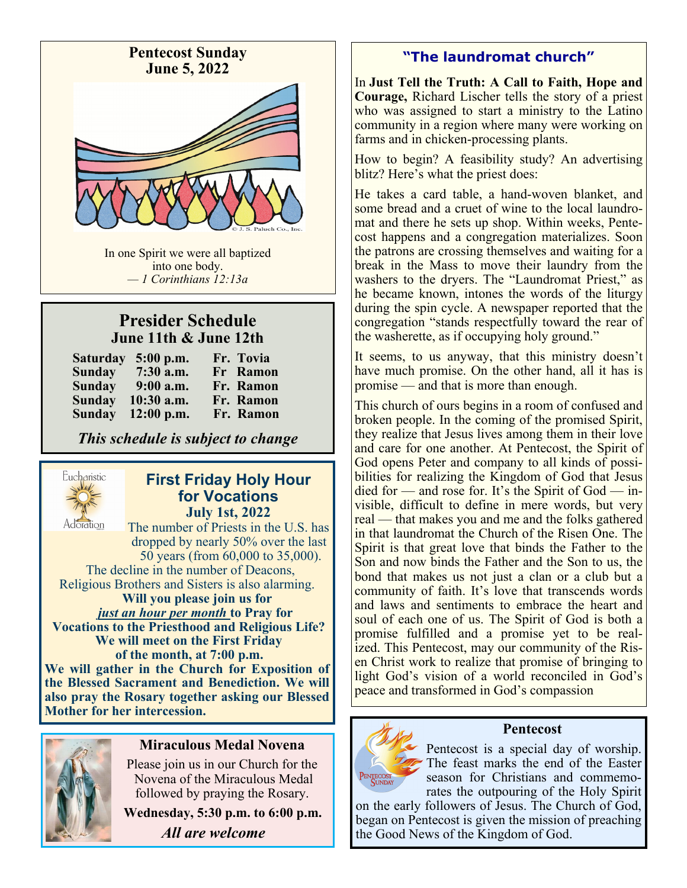

In one Spirit we were all baptized into one body. *— 1 Corinthians 12:13a*

# **Presider Schedule June 11th & June 12th**

|               | Saturday 5:00 p.m. | Fr. Tovia |
|---------------|--------------------|-----------|
| <b>Sunday</b> | 7:30 a.m.          | Fr Ramon  |
| <b>Sunday</b> | $9:00$ a.m.        | Fr. Ramon |
| Sunday        | $10:30$ a.m.       | Fr. Ramon |
| <b>Sunday</b> | $12:00$ p.m.       | Fr. Ramon |

*This schedule is subject to change*



### **First Friday Holy Hour for Vocations July 1st, 2022**

The number of Priests in the U.S. has dropped by nearly 50% over the last 50 years (from 60,000 to 35,000). The decline in the number of Deacons, Religious Brothers and Sisters is also alarming.  **Will you please join us for**   *just an hour per month* **to Pray for Vocations to the Priesthood and Religious Life? We will meet on the First Friday of the month, at 7:00 p.m. We will gather in the Church for Exposition of the Blessed Sacrament and Benediction. We will also pray the Rosary together asking our Blessed Mother for her intercession.**



### **Miraculous Medal Novena**

Please join us in our Church for the Novena of the Miraculous Medal followed by praying the Rosary.

**Wednesday, 5:30 p.m. to 6:00 p.m.** *All are welcome*

# **"The laundromat church"**

In **Just Tell the Truth: A Call to Faith, Hope and Courage,** Richard Lischer tells the story of a priest who was assigned to start a ministry to the Latino community in a region where many were working on farms and in chicken-processing plants.

How to begin? A feasibility study? An advertising blitz? Here's what the priest does:

He takes a card table, a hand-woven blanket, and some bread and a cruet of wine to the local laundromat and there he sets up shop. Within weeks, Pentecost happens and a congregation materializes. Soon the patrons are crossing themselves and waiting for a break in the Mass to move their laundry from the washers to the dryers. The "Laundromat Priest," as he became known, intones the words of the liturgy during the spin cycle. A newspaper reported that the congregation "stands respectfully toward the rear of the washerette, as if occupying holy ground."

It seems, to us anyway, that this ministry doesn't have much promise. On the other hand, all it has is promise — and that is more than enough.

This church of ours begins in a room of confused and broken people. In the coming of the promised Spirit, they realize that Jesus lives among them in their love and care for one another. At Pentecost, the Spirit of God opens Peter and company to all kinds of possibilities for realizing the Kingdom of God that Jesus died for — and rose for. It's the Spirit of God — invisible, difficult to define in mere words, but very real — that makes you and me and the folks gathered in that laundromat the Church of the Risen One. The Spirit is that great love that binds the Father to the Son and now binds the Father and the Son to us, the bond that makes us not just a clan or a club but a community of faith. It's love that transcends words and laws and sentiments to embrace the heart and soul of each one of us. The Spirit of God is both a promise fulfilled and a promise yet to be realized. This Pentecost, may our community of the Risen Christ work to realize that promise of bringing to light God's vision of a world reconciled in God's peace and transformed in God's compassion



# **Pentecost**

Pentecost is a special day of worship. The feast marks the end of the Easter season for Christians and commemorates the outpouring of the Holy Spirit

on the early followers of Jesus. The Church of God, began on Pentecost is given the mission of preaching the Good News of the Kingdom of God.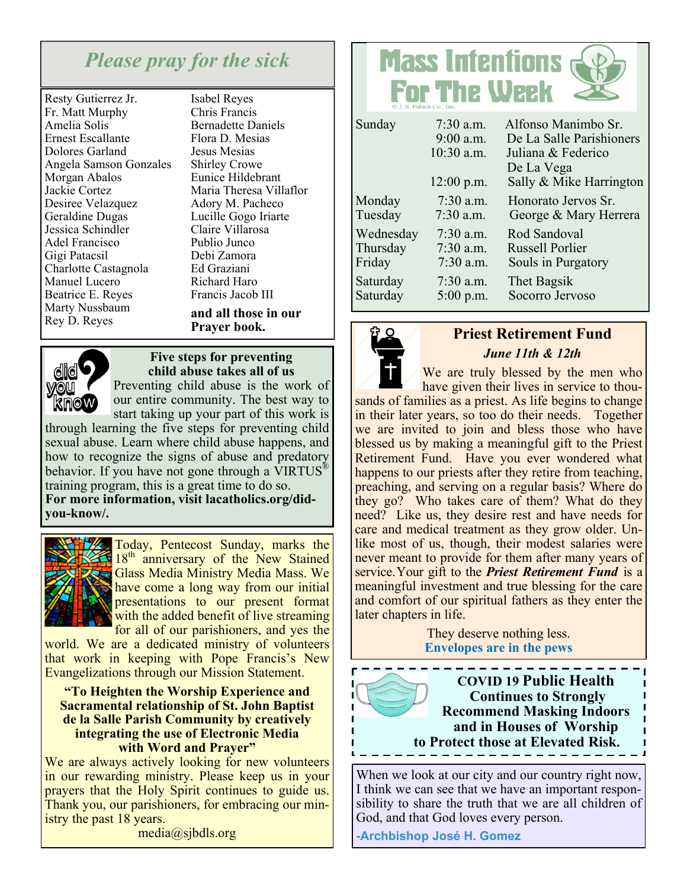# *Please pray for the sick*

Resty Gutierrez Jr. Fr. Matt Murphy Amelia Solis Ernest Escallante Dolores Garland Angela Samson Gonzales Morgan Abalos Jackie Cortez Desiree Velazquez Geraldine Dugas Jessica Schindler Adel Francisco Gigi Patacsil Charlotte Castagnola Manuel Lucero Beatrice E. Reyes Marty Nussbaum Rey D. Reyes

Isabel Reyes Chris Francis Bernadette Daniels Flora D. Mesias Jesus Mesias Shirley Crowe Eunice Hildebrant Maria Theresa Villaflor Adory M. Pacheco Lucille Gogo Iriarte Claire Villarosa Publio Junco Debi Zamora Ed Graziani Richard Haro Francis Jacob III **and all those in our Prayer book.**

**dic** you **Know** 

**Five steps for preventing child abuse takes all of us** 

Preventing child abuse is the work of our entire community. The best way to start taking up your part of this work is

through learning the five steps for preventing child sexual abuse. Learn where child abuse happens, and how to recognize the signs of abuse and predatory behavior. If you have not gone through a VIRTUS<sup>®</sup> training program, this is a great time to do so. **For more information, visit lacatholics.org/didyou-know/.** 



Today, Pentecost Sunday, marks the  $18<sup>th</sup>$  anniversary of the New Stained Glass Media Ministry Media Mass. We have come a long way from our initial presentations to our present format with the added benefit of live streaming for all of our parishioners, and yes the

world. We are a dedicated ministry of volunteers that work in keeping with Pope Francis's New Evangelizations through our Mission Statement.

#### **"To Heighten the Worship Experience and Sacramental relationship of St. John Baptist de la Salle Parish Community by creatively integrating the use of Electronic Media with Word and Prayer"**

We are always actively looking for new volunteers in our rewarding ministry. Please keep us in your prayers that the Holy Spirit continues to guide us. Thank you, our parishioners, for embracing our ministry the past 18 years.

media@sjbdls.org

# **Mass Intentions For The Week**

| Sunday    | $7:30$ a.m.<br>$9:00$ a.m.<br>10:30 a.m.<br>12:00 p.m. | Alfonso Manimbo Sr.<br>De La Salle Parishioners<br>Juliana & Federico<br>De La Vega<br>Sally & Mike Harrington |
|-----------|--------------------------------------------------------|----------------------------------------------------------------------------------------------------------------|
| Monday    | $7:30$ a.m.                                            | Honorato Jervos Sr.                                                                                            |
| Tuesday   | $7:30$ a.m.                                            | George & Mary Herrera                                                                                          |
| Wednesday | $7:30$ a.m.                                            | Rod Sandoval                                                                                                   |
| Thursday  | $7:30$ a.m.                                            | <b>Russell Porlier</b>                                                                                         |
| Friday    | $7:30$ a.m.                                            | Souls in Purgatory                                                                                             |
| Saturday  | $7:30$ a.m.                                            | Thet Bagsik                                                                                                    |
| Saturday  | $5:00$ p.m.                                            | Socorro Jervoso                                                                                                |



# **Priest Retirement Fund**  *June 11th & 12th*

We are truly blessed by the men who have given their lives in service to thousands of families as a priest. As life begins to change in their later years, so too do their needs. Together we are invited to join and bless those who have blessed us by making a meaningful gift to the Priest Retirement Fund. Have you ever wondered what happens to our priests after they retire from teaching, preaching, and serving on a regular basis? Where do they go? Who takes care of them? What do they

need? Like us, they desire rest and have needs for care and medical treatment as they grow older. Unlike most of us, though, their modest salaries were never meant to provide for them after many years of service.Your gift to the *Priest Retirement Fund* is a meaningful investment and true blessing for the care and comfort of our spiritual fathers as they enter the later chapters in life.

> They deserve nothing less. **Envelopes are in the pews**

**COVID 19 Public Health Continues to Strongly Recommend Masking Indoors and in Houses of Worship to Protect those at Elevated Risk.** 

When we look at our city and our country right now, I think we can see that we have an important responsibility to share the truth that we are all children of God, and that God loves every person.

**-Archbishop José H. Gomez**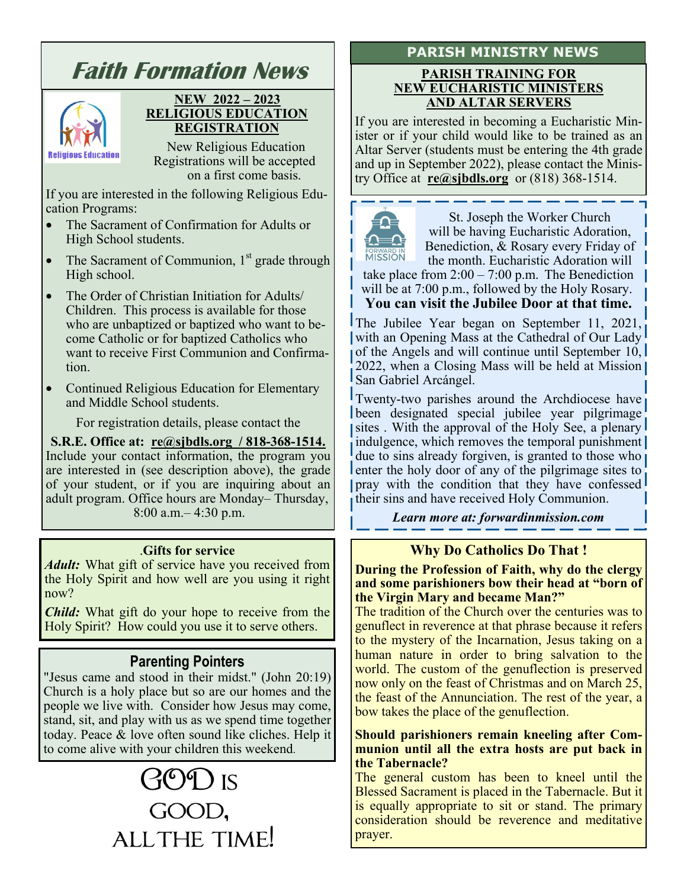# **Faith Formation News NEW 2022 – 2023 RELIGIOUS EDUCATION REGISTRATION**  New Religious Education **Religious Education**  Registrations will be accepted on a first come basis. If you are interested in the following Religious Education Programs: • The Sacrament of Confirmation for Adults or High School students. The Sacrament of Communion,  $1<sup>st</sup>$  grade through High school.

- The Order of Christian Initiation for Adults/ Children. This process is available for those who are unbaptized or baptized who want to become Catholic or for baptized Catholics who want to receive First Communion and Confirmation.
- Continued Religious Education for Elementary and Middle School students.

For registration details, please contact the

**S.R.E. Office at: re@sjbdls.org / 818-368-1514.**  Include your contact information, the program you are interested in (see description above), the grade of your student, or if you are inquiring about an adult program. Office hours are Monday– Thursday, 8:00 a.m.– 4:30 p.m.

### .**Gifts for service**

*Adult:* What gift of service have you received from the Holy Spirit and how well are you using it right now?

*Child:* What gift do your hope to receive from the Holy Spirit? How could you use it to serve others.

# **Parenting Pointers**

"Jesus came and stood in their midst." (John 20:19) Church is a holy place but so are our homes and the people we live with. Consider how Jesus may come, stand, sit, and play with us as we spend time together today. Peace & love often sound like cliches. Help it to come alive with your children this weekend.

# $300$  is GOOD, ALL THE TIME!

#### **PARISH TRAINING FOR NEW EUCHARISTIC MINISTERS AND ALTAR SERVERS**

If you are interested in becoming a Eucharistic Minister or if your child would like to be trained as an Altar Server (students must be entering the 4th grade and up in September 2022), please contact the Ministry Office at **re@sjbdls.org** or (818) 368-1514.



St. Joseph the Worker Church will be having Eucharistic Adoration, Benediction, & Rosary every Friday of the month. Eucharistic Adoration will

take place from  $2:00 - 7:00$  p.m. The Benediction will be at 7:00 p.m., followed by the Holy Rosary.

**You can visit the Jubilee Door at that time.** 

The Jubilee Year began on September 11, 2021, with an Opening Mass at the Cathedral of Our Lady of the Angels and will continue until September 10, 2022, when a Closing Mass will be held at Mission San Gabriel Arcángel.

Twenty-two parishes around the Archdiocese have been designated special jubilee year pilgrimage sites. With the approval of the Holy See, a plenary indulgence, which removes the temporal punishment due to sins already forgiven, is granted to those who enter the holy door of any of the pilgrimage sites to pray with the condition that they have confessed their sins and have received Holy Communion.

*Learn more at: forwardinmission.com* 

# **Why Do Catholics Do That !**

**During the Profession of Faith, why do the clergy and some parishioners bow their head at "born of the Virgin Mary and became Man?"**

The tradition of the Church over the centuries was to genuflect in reverence at that phrase because it refers to the mystery of the Incarnation, Jesus taking on a human nature in order to bring salvation to the world. The custom of the genuflection is preserved now only on the feast of Christmas and on March 25, the feast of the Annunciation. The rest of the year, a bow takes the place of the genuflection.

#### **Should parishioners remain kneeling after Communion until all the extra hosts are put back in the Tabernacle?**

The general custom has been to kneel until the Blessed Sacrament is placed in the Tabernacle. But it is equally appropriate to sit or stand. The primary consideration should be reverence and meditative prayer.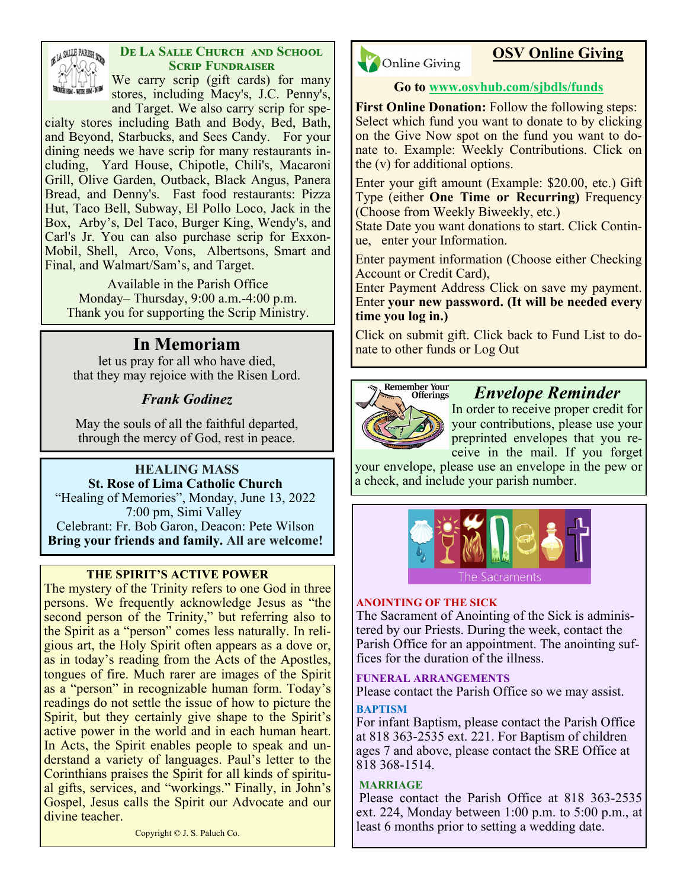

### **DE LA SALLE CHURCH AND SCHOOL SCRIP FUNDRAISER**

We carry scrip (gift cards) for many stores, including Macy's, J.C. Penny's, and Target. We also carry scrip for spe-

cialty stores including Bath and Body, Bed, Bath, and Beyond, Starbucks, and Sees Candy. For your dining needs we have scrip for many restaurants including, Yard House, Chipotle, Chili's, Macaroni Grill, Olive Garden, Outback, Black Angus, Panera Bread, and Denny's. Fast food restaurants: Pizza Hut, Taco Bell, Subway, El Pollo Loco, Jack in the Box, Arby's, Del Taco, Burger King, Wendy's, and Carl's Jr. You can also purchase scrip for Exxon-Mobil, Shell, Arco, Vons, Albertsons, Smart and Final, and Walmart/Sam's, and Target.

Available in the Parish Office Monday– Thursday, 9:00 a.m.-4:00 p.m. Thank you for supporting the Scrip Ministry.

that they may rejoice with the Risen Lord.

## *Frank Godinez*

May the souls of all the faithful departed, through the mercy of God, rest in peace.

#### **HEALING MASS St. Rose of Lima Catholic Church**

"Healing of Memories", Monday, June 13, 2022 7:00 pm, Simi Valley Celebrant: Fr. Bob Garon, Deacon: Pete Wilson

**Bring your friends and family. All are welcome!**

#### **THE SPIRIT'S ACTIVE POWER**

The mystery of the Trinity refers to one God in three persons. We frequently acknowledge Jesus as "the second person of the Trinity," but referring also to the Spirit as a "person" comes less naturally. In religious art, the Holy Spirit often appears as a dove or, as in today's reading from the Acts of the Apostles, tongues of fire. Much rarer are images of the Spirit as a "person" in recognizable human form. Today's readings do not settle the issue of how to picture the Spirit, but they certainly give shape to the Spirit's active power in the world and in each human heart. In Acts, the Spirit enables people to speak and understand a variety of languages. Paul's letter to the Corinthians praises the Spirit for all kinds of spiritual gifts, services, and "workings." Finally, in John's Gospel, Jesus calls the Spirit our Advocate and our divine teacher.

Copyright © J. S. Paluch Co.



# **OSV Online Giving**

#### **Go to www.osvhub.com/sjbdls/funds**

**First Online Donation:** Follow the following steps: Select which fund you want to donate to by clicking on the Give Now spot on the fund you want to donate to. Example: Weekly Contributions. Click on the (v) for additional options.

Enter your gift amount (Example: \$20.00, etc.) Gift Type (either **One Time or Recurring)** Frequency (Choose from Weekly Biweekly, etc.)

State Date you want donations to start. Click Continue, enter your Information.

Enter payment information (Choose either Checking Account or Credit Card),

Enter Payment Address Click on save my payment. Enter **your new password. (It will be needed every time you log in.)**

In Memoriam **natural Click on submit gift.** Click back to Fund List to do-<br>let us pray for all who have died,



# *Envelope Reminder*

In order to receive proper credit for your contributions, please use your preprinted envelopes that you receive in the mail. If you forget

your envelope, please use an envelope in the pew or a check, and include your parish number.



#### **ANOINTING OF THE SICK**

The Sacrament of Anointing of the Sick is administered by our Priests. During the week, contact the Parish Office for an appointment. The anointing suffices for the duration of the illness.

#### **FUNERAL ARRANGEMENTS**

Please contact the Parish Office so we may assist.

#### **BAPTISM**

For infant Baptism, please contact the Parish Office at 818 363-2535 ext. 221. For Baptism of children ages 7 and above, please contact the SRE Office at 818 368-1514.

#### **MARRIAGE**

Please contact the Parish Office at 818 363-2535 ext. 224, Monday between 1:00 p.m. to 5:00 p.m., at least 6 months prior to setting a wedding date.